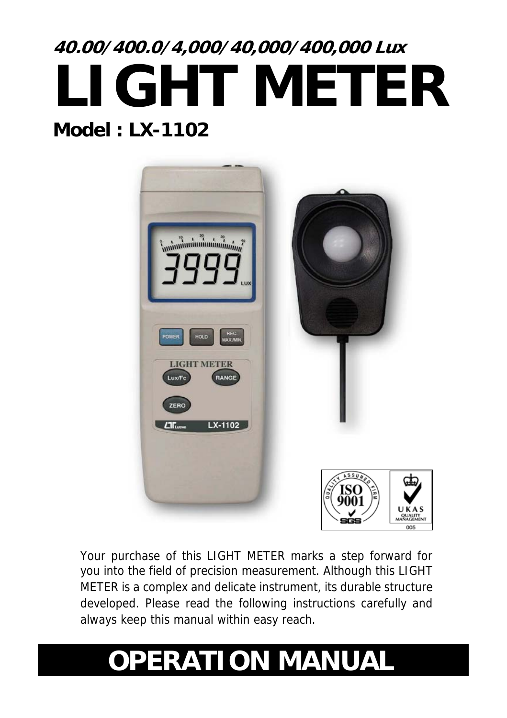# **40.00/400.0/4,000/40,000/400,000 Lux LIGHT METER Model : LX-1102**



Your purchase of this LIGHT METER marks a step forward for you into the field of precision measurement. Although this LIGHT METER is a complex and delicate instrument, its durable structure developed. Please read the following instructions carefully and always keep this manual within easy reach.

## **OPERATION MANUAL**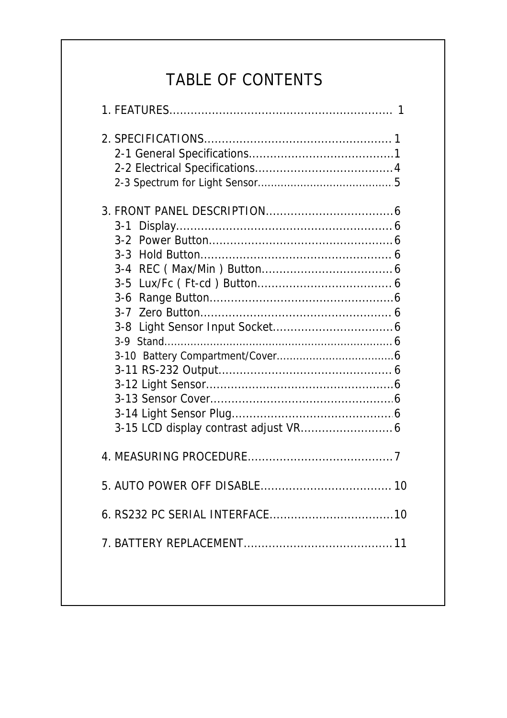## TABLE OF CONTENTS

| $3 - 1$<br>$3-2$<br>$3 - 3$<br>$3 - 4$<br>$3 - 5$<br>$3-6$<br>$3 - 7$<br>$3 - 8$<br>$3-9$ |
|-------------------------------------------------------------------------------------------|
|                                                                                           |
|                                                                                           |
|                                                                                           |
|                                                                                           |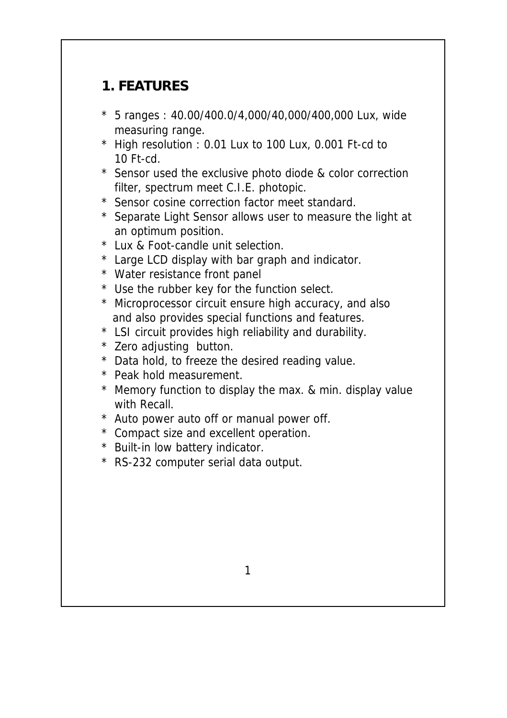## **1. FEATURES**

- \* 5 ranges : 40.00/400.0/4,000/40,000/400,000 Lux, wide measuring range.
- \* High resolution : 0.01 Lux to 100 Lux, 0.001 Ft-cd to 10 Ft-cd.
- \* Sensor used the exclusive photo diode & color correction filter, spectrum meet C.I.E. photopic.
- \* Sensor cosine correction factor meet standard.
- \* Separate Light Sensor allows user to measure the light at an optimum position.
- \* Lux & Foot-candle unit selection.
- \* Large LCD display with bar graph and indicator.
- \* Water resistance front panel
- \* Use the rubber key for the function select.
- \* Microprocessor circuit ensure high accuracy, and also and also provides special functions and features.
- \* LSI circuit provides high reliability and durability.
- \* Zero adjusting button.
- \* Data hold, to freeze the desired reading value.
- \* Peak hold measurement.
- \* Memory function to display the max. & min. display value with Recall.
- \* Auto power auto off or manual power off.
- \* Compact size and excellent operation.
- \* Built-in low battery indicator.
- \* RS-232 computer serial data output.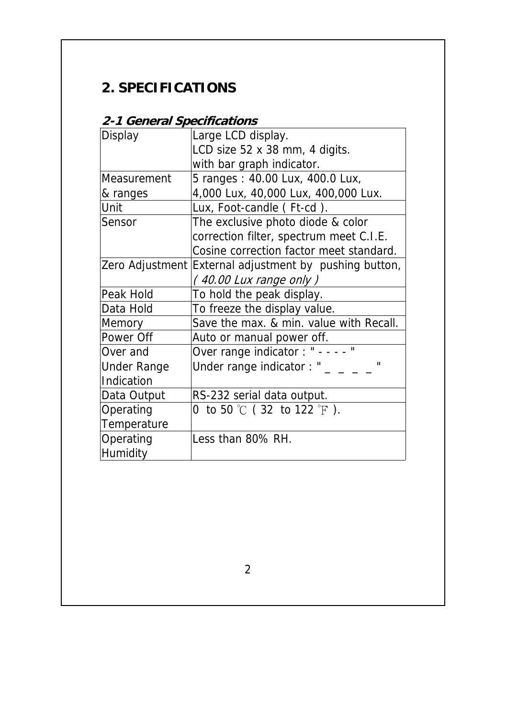## **2. SPECIFICATIONS**

#### **2-1 General Specifications**

| Display            | Large LCD display.                                     |
|--------------------|--------------------------------------------------------|
|                    | LCD size 52 x 38 mm, 4 digits.                         |
|                    | with bar graph indicator.                              |
| Measurement        | 5 ranges: 40.00 Lux, 400.0 Lux,                        |
| & ranges           | 4,000 Lux, 40,000 Lux, 400,000 Lux.                    |
| Unit               | Lux, Foot-candle (Ft-cd).                              |
| Sensor             | The exclusive photo diode & color                      |
|                    | correction filter, spectrum meet C.I.E.                |
|                    | Cosine correction factor meet standard.                |
|                    | Zero Adjustment External adjustment by pushing button, |
|                    | $(40.00$ Lux range only $)$                            |
| Peak Hold          | To hold the peak display.                              |
| Data Hold          | To freeze the display value.                           |
| Memory             | Save the max. & min. value with Recall.                |
| Power Off          | Auto or manual power off.                              |
| Over and           | Over range indicator : " - - - - "                     |
| <b>Under Range</b> | Under range indicator: "<br>$\blacksquare$             |
| Indication         |                                                        |
| Data Output        | RS-232 serial data output.                             |
| Operating          | 0 to 50 $\degree$ C (32 to 122 $\degree$ F).           |
| Temperature        |                                                        |
| Operating          | Less than 80% RH.                                      |
| Humidity           |                                                        |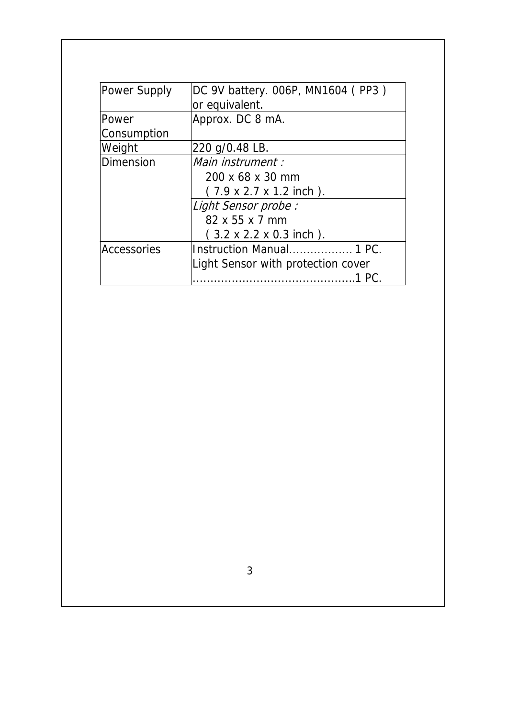| Power Supply                   | DC 9V battery. 006P, MN1604 (PP3)            |  |
|--------------------------------|----------------------------------------------|--|
|                                | or equivalent.                               |  |
| Power                          | Approx. DC 8 mA.                             |  |
| Consumption                    |                                              |  |
| Weight                         | 220 g/0.48 LB.                               |  |
| Main instrument :<br>Dimension |                                              |  |
|                                | 200 x 68 x 30 mm                             |  |
|                                | $(7.9 \times 2.7 \times 1.2 \text{ inch})$ . |  |
|                                | Light Sensor probe:                          |  |
|                                | $82 \times 55 \times 7$ mm                   |  |
|                                | $(3.2 \times 2.2 \times 0.3 \text{ inch})$ . |  |
| Accessories                    | Instruction Manual 1 PC.                     |  |
|                                | Light Sensor with protection cover           |  |
|                                |                                              |  |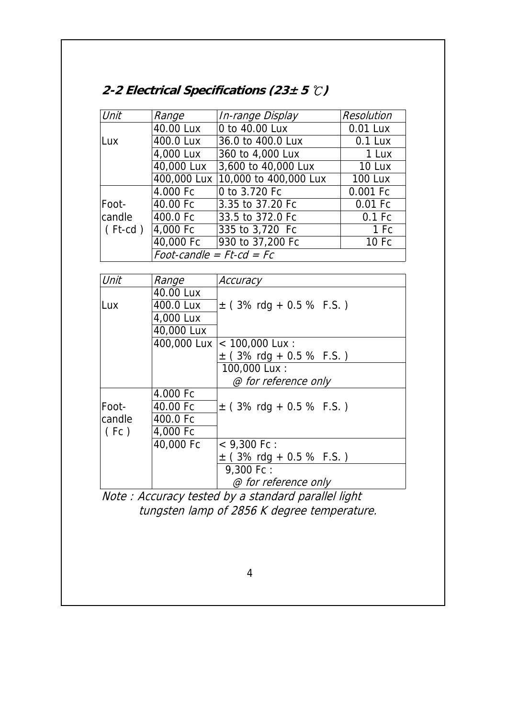| 2-2 Electrical Specifications (23 $\pm$ 5 $\degree$ C) |  |
|--------------------------------------------------------|--|
|--------------------------------------------------------|--|

| Unit          | Range                         | In-range Display      | Resolution     |
|---------------|-------------------------------|-----------------------|----------------|
|               | 40.00 Lux                     | 0 to 40.00 Lux        | 0.01 Lux       |
| Lux           | 400.0 Lux                     | 36.0 to 400.0 Lux     | $0.1$ Lux      |
|               | 4,000 Lux                     | 360 to 4,000 Lux      | 1 Lux          |
|               | 40,000 Lux                    | 3,600 to 40,000 Lux   | 10 Lux         |
|               | 400,000 Lux                   | 10,000 to 400,000 Lux | <b>100 Lux</b> |
|               | 4.000 Fc                      | 0 to 3.720 Fc         | 0.001 Fc       |
| Foot-         | 40.00 Fc                      | 3.35 to 37.20 Fc      | 0.01 Fc        |
| candle        | 400.0 Fc                      | 33.5 to 372.0 Fc      | $0.1$ Fc       |
| $($ Ft-cd $)$ | 4,000 Fc                      | 335 to 3.720 Fc       | 1 Fc           |
|               | 40,000 Fc                     | 930 to 37,200 Fc      | 10 Fc          |
|               | Foot-candle = $Ft$ -cd = $Fc$ |                       |                |

| Unit   | Range       | Accuracy                     |
|--------|-------------|------------------------------|
|        | 40.00 Lux   |                              |
| Lux    | 400.0 Lux   | $\pm$ (3% rdg + 0.5 % F.S.)  |
|        | 4,000 Lux   |                              |
|        | 40,000 Lux  |                              |
|        | 400,000 Lux | $< 100,000$ Lux :            |
|        |             | $\pm$ (3% rdg + 0.5 % F.S.)  |
|        |             | 100,000 Lux:                 |
|        |             | @ for reference only         |
|        | 4.000 Fc    |                              |
| Foot-  | 40.00 Fc    | $\pm$ (3% rdg + 0.5 % F.S.)  |
| candle | 400.0 Fc    |                              |
| (Fc)   | 4,000 Fc    |                              |
|        | 40,000 Fc   | $<$ 9.300 Fc :               |
|        |             | $\pm$ (3% rdg + 0.5 % F.S. ) |
|        |             | 9,300 Fc:                    |
|        |             | @ for reference only         |

Note : Accuracy tested by a standard parallel light tungsten lamp of 2856 K degree temperature.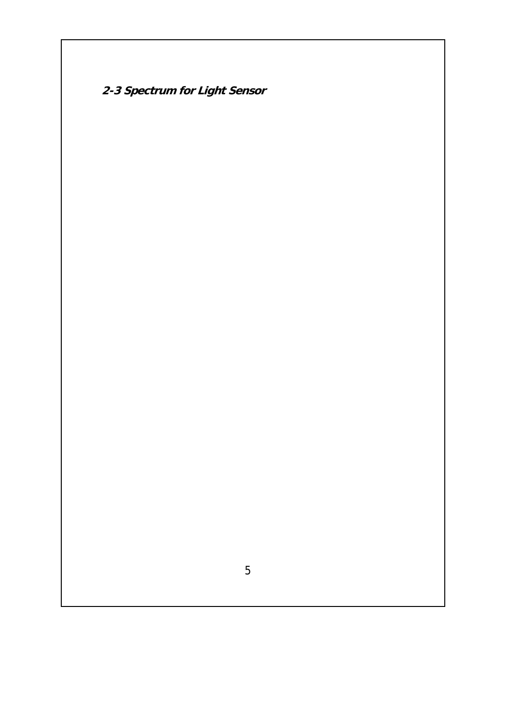**2-3 Spectrum for Light Sensor**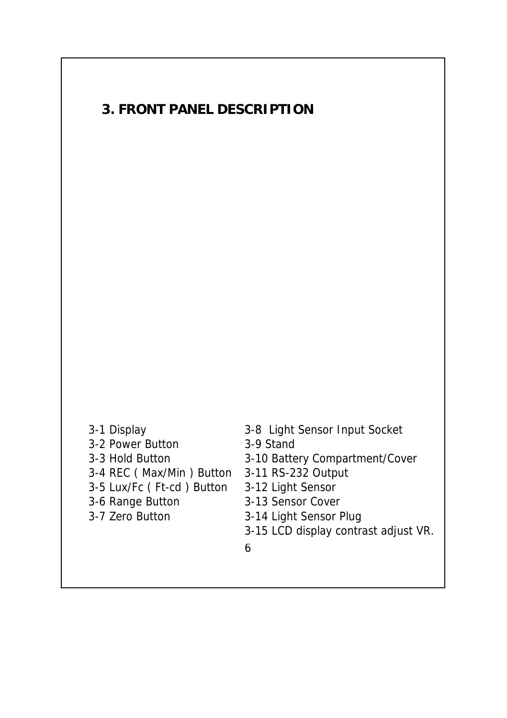### **3. FRONT PANEL DESCRIPTION**

- 3-2 Power Button 3-9 Stand 3-4 REC ( Max/Min ) Button 3-11 RS-232 Output 3-5 Lux/Fc ( Ft-cd ) Button 3-12 Light Sensor 3-6 Range Button 3-13 Sensor Cover 3-7 Zero Button 3-14 Light Sensor Plug
- 3-1 Display 3-8 Light Sensor Input Socket
	-
- 3-3 Hold Button 3-10 Battery Compartment/Cover
	-
	-
	-
	-
	- 3-15 LCD display contrast adjust VR.
	- 6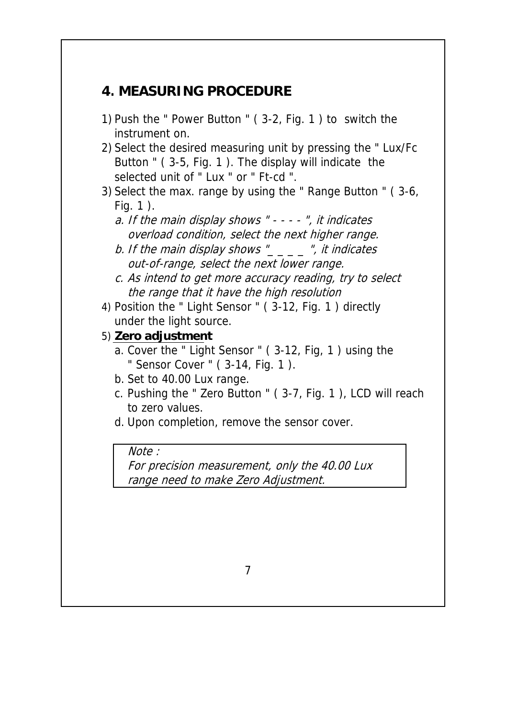#### **4. MEASURING PROCEDURE**

- 1) Push the " Power Button " ( 3-2, Fig. 1 ) to switch the instrument on.
- 2) Select the desired measuring unit by pressing the " Lux/Fc Button " ( 3-5, Fig. 1 ). The display will indicate the selected unit of " Lux " or " Ft-cd ".
- 3) Select the max. range by using the " Range Button " ( 3-6, Fig. 1 ).
	- a. If the main display shows " - - ", it indicates overload condition, select the next higher range.
	- b. If the main display shows " $\frac{1}{2}$   $\frac{1}{2}$  ", it indicates out-of-range, select the next lower range.
	- c. As intend to get more accuracy reading, try to select the range that it have the high resolution

4) Position the " Light Sensor " ( 3-12, Fig. 1 ) directly under the light source.

- 5) **Zero adjustment** 
	- a. Cover the " Light Sensor " ( 3-12, Fig, 1 ) using the " Sensor Cover " ( 3-14, Fig. 1 ).
	- b. Set to 40.00 Lux range.
	- c. Pushing the " Zero Button " ( 3-7, Fig. 1 ), LCD will reach to zero values.
	- d. Upon completion, remove the sensor cover.

Note :

For precision measurement, only the 40.00 Lux range need to make Zero Adjustment.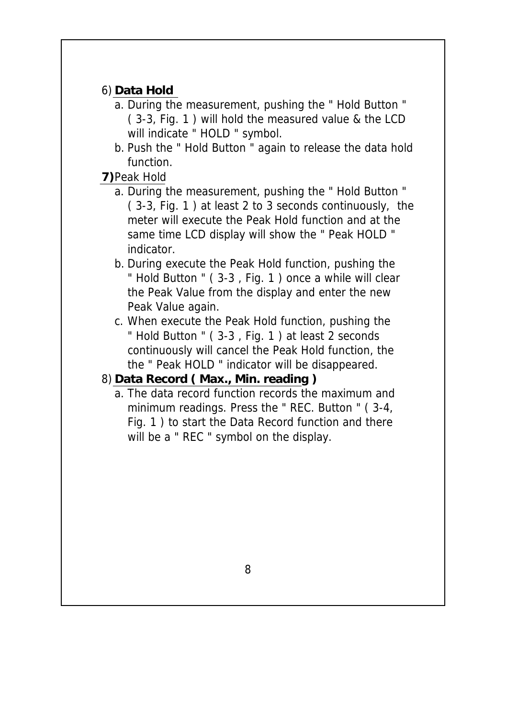#### 6) **Data Hold**

- a. During the measurement, pushing the " Hold Button " ( 3-3, Fig. 1 ) will hold the measured value & the LCD will indicate " HOLD " symbol.
- b. Push the " Hold Button " again to release the data hold function.

#### **7)**Peak Hold

- a. During the measurement, pushing the " Hold Button " ( 3-3, Fig. 1 ) at least 2 to 3 seconds continuously, the meter will execute the Peak Hold function and at the same time LCD display will show the " Peak HOLD " indicator.
- b. During execute the Peak Hold function, pushing the " Hold Button " ( 3-3 , Fig. 1 ) once a while will clear the Peak Value from the display and enter the new Peak Value again.
- c. When execute the Peak Hold function, pushing the " Hold Button " ( 3-3 , Fig. 1 ) at least 2 seconds continuously will cancel the Peak Hold function, the the " Peak HOLD " indicator will be disappeared.

#### 8) **Data Record ( Max., Min. reading )**

a. The data record function records the maximum and minimum readings. Press the " REC. Button " ( 3-4, Fig. 1 ) to start the Data Record function and there will be a " REC " symbol on the display.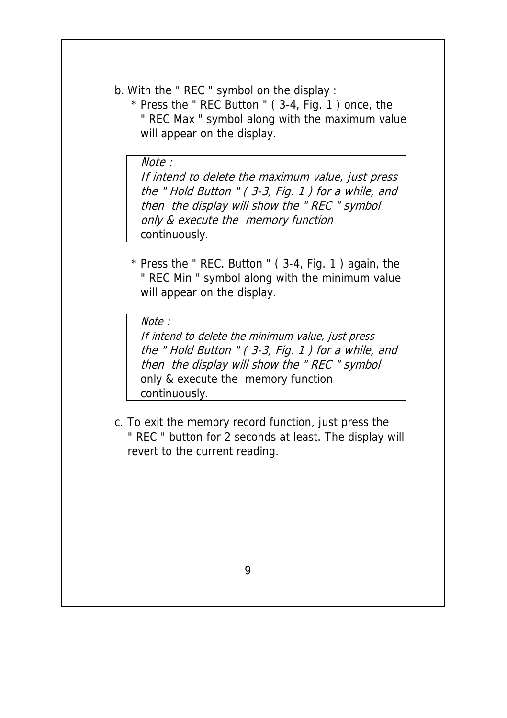b. With the " REC " symbol on the display :

 \* Press the " REC Button " ( 3-4, Fig. 1 ) once, the " REC Max " symbol along with the maximum value will appear on the display.

Note : If intend to delete the maximum value, just press the " Hold Button " ( 3-3, Fig. 1 ) for a while, and then the display will show the " REC " symbol only & execute the memory function continuously.

 \* Press the " REC. Button " ( 3-4, Fig. 1 ) again, the " REC Min " symbol along with the minimum value will appear on the display.

Note :

If intend to delete the minimum value, just press the " Hold Button " ( 3-3, Fig. 1 ) for a while, and then the display will show the " REC " symbol only & execute the memory function continuously.

c. To exit the memory record function, just press the " REC " button for 2 seconds at least. The display will revert to the current reading.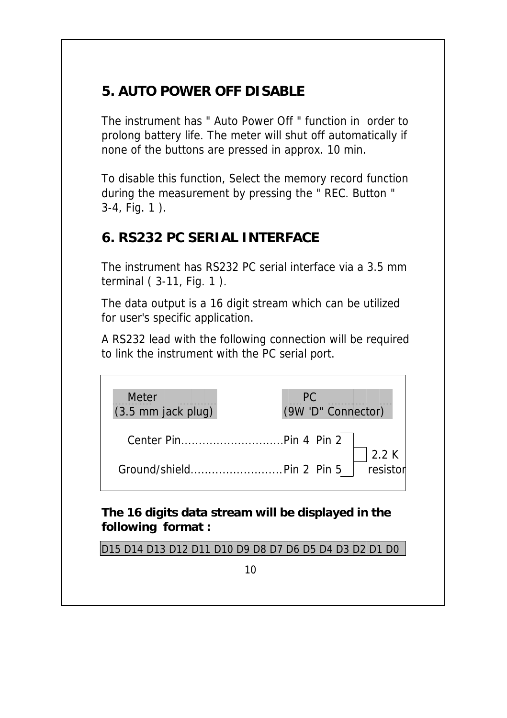### **5. AUTO POWER OFF DISABLE**

The instrument has " Auto Power Off " function in order to prolong battery life. The meter will shut off automatically if none of the buttons are pressed in approx. 10 min.

To disable this function, Select the memory record function during the measurement by pressing the " REC. Button " 3-4, Fig. 1 ).

## **6. RS232 PC SERIAL INTERFACE**

The instrument has RS232 PC serial interface via a 3.5 mm terminal ( 3-11, Fig. 1 ).

The data output is a 16 digit stream which can be utilized for user's specific application.

A RS232 lead with the following connection will be required to link the instrument with the PC serial port.